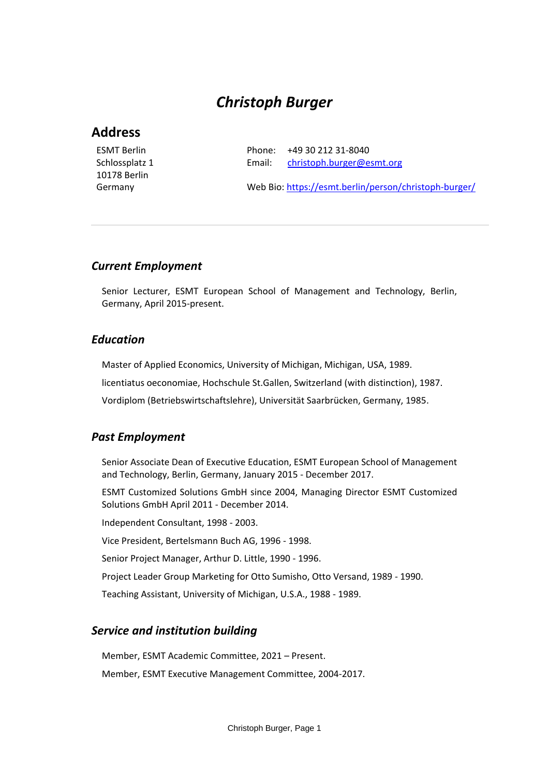# *Christoph Burger*

# **Address**

ESMT Berlin Schlossplatz 1 10178 Berlin Germany

Phone: +49 30 212 31-8040 Email: [christoph.burger@esmt.org](mailto:christoph.burger@esmt.org)

Web Bio:<https://esmt.berlin/person/christoph-burger/>

### *Current Employment*

Senior Lecturer, ESMT European School of Management and Technology, Berlin, Germany, April 2015-present.

### *Education*

Master of Applied Economics, University of Michigan, Michigan, USA, 1989.

licentiatus oeconomiae, Hochschule St.Gallen, Switzerland (with distinction), 1987.

Vordiplom (Betriebswirtschaftslehre), Universität Saarbrücken, Germany, 1985.

### *Past Employment*

Senior Associate Dean of Executive Education, ESMT European School of Management and Technology, Berlin, Germany, January 2015 - December 2017.

ESMT Customized Solutions GmbH since 2004, Managing Director ESMT Customized Solutions GmbH April 2011 - December 2014.

Independent Consultant, 1998 - 2003.

Vice President, Bertelsmann Buch AG, 1996 - 1998.

Senior Project Manager, Arthur D. Little, 1990 - 1996.

Project Leader Group Marketing for Otto Sumisho, Otto Versand, 1989 - 1990.

Teaching Assistant, University of Michigan, U.S.A., 1988 - 1989.

### *Service and institution building*

Member, ESMT Academic Committee, 2021 – Present.

Member, ESMT Executive Management Committee, 2004-2017.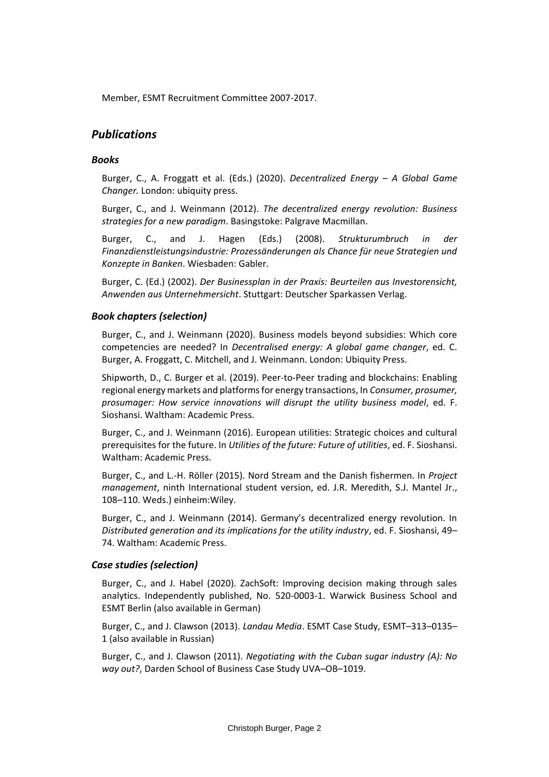Member, ESMT Recruitment Committee 2007-2017.

# *Publications*

### *Books*

Burger, C., A. Froggatt et al. (Eds.) (2020). *Decentralized Energy – A Global Game Changer.* London: ubiquity press.

Burger, C., and J. Weinmann (2012). *The decentralized energy revolution: Business strategies for a new paradigm*. Basingstoke: Palgrave Macmillan.

Burger, C., and J. Hagen (Eds.) (2008). *Strukturumbruch in der Finanzdienstleistungsindustrie: Prozessänderungen als Chance für neue Strategien und Konzepte in Banken*. Wiesbaden: Gabler.

Burger, C. (Ed.) (2002). *Der Businessplan in der Praxis: Beurteilen aus Investorensicht, Anwenden aus Unternehmersicht*. Stuttgart: Deutscher Sparkassen Verlag.

### *Book chapters (selection)*

Burger, C., and J. Weinmann (2020). Business models beyond subsidies: Which core competencies are needed? In *Decentralised energy: A global game changer*, ed. C. Burger, A. Froggatt, C. Mitchell, and J. Weinmann. London: Ubiquity Press.

Shipworth, D., C. Burger et al. (2019). Peer-to-Peer trading and blockchains: Enabling regional energy markets and platforms for energy transactions, In *Consumer, prosumer, prosumager: How service innovations will disrupt the utility business model*, ed. F. Sioshansi. Waltham: Academic Press.

Burger, C., and J. Weinmann (2016). European utilities: Strategic choices and cultural prerequisites for the future. In *Utilities of the future: Future of utilities*, ed. F. Sioshansi. Waltham: Academic Press.

Burger, C., and L.-H. Röller (2015). Nord Stream and the Danish fishermen. In *Project management*, ninth International student version, ed. J.R. Meredith, S.J. Mantel Jr., 108–110. Weds.) einheim:Wiley.

Burger, C., and J. Weinmann (2014). Germany's decentralized energy revolution. In *Distributed generation and its implications for the utility industry*, ed. F. Sioshansi, 49– 74. Waltham: Academic Press.

### *Case studies (selection)*

Burger, C., and J. Habel (2020). ZachSoft: Improving decision making through sales analytics. Independently published, No. 520-0003-1. Warwick Business School and ESMT Berlin (also available in German)

Burger, C., and J. Clawson (2013). *Landau Media*. ESMT Case Study, ESMT–313–0135– 1 (also available in Russian)

Burger, C., and J. Clawson (2011). *Negotiating with the Cuban sugar industry (A): No way out?*, Darden School of Business Case Study UVA–OB–1019.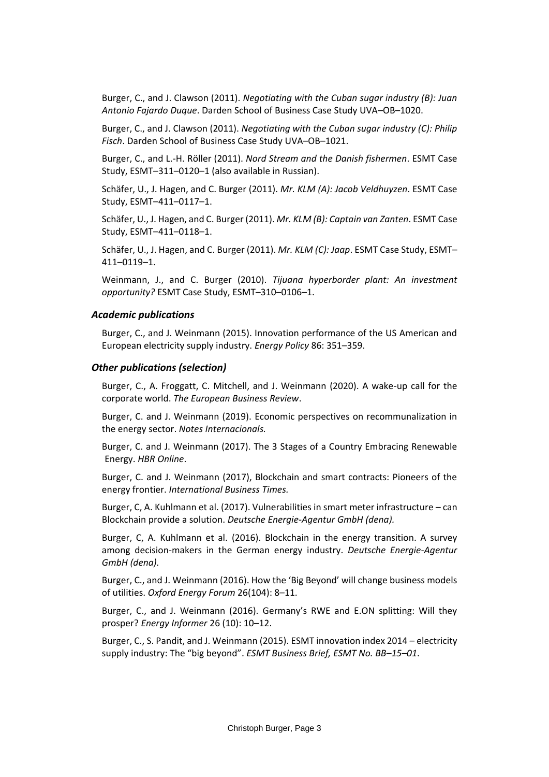Burger, C., and J. Clawson (2011). *Negotiating with the Cuban sugar industry (B): Juan Antonio Fajardo Duque*. Darden School of Business Case Study UVA–OB–1020.

Burger, C., and J. Clawson (2011). *Negotiating with the Cuban sugar industry (C): Philip Fisch*. Darden School of Business Case Study UVA–OB–1021.

Burger, C., and L.-H. Röller (2011). *Nord Stream and the Danish fishermen*. ESMT Case Study, ESMT–311–0120–1 (also available in Russian).

Schäfer, U., J. Hagen, and C. Burger (2011). *Mr. KLM (A): Jacob Veldhuyzen*. ESMT Case Study, ESMT–411–0117–1.

Schäfer, U., J. Hagen, and C. Burger (2011). *Mr. KLM (B): Captain van Zanten*. ESMT Case Study, ESMT–411–0118–1.

Schäfer, U., J. Hagen, and C. Burger (2011). *Mr. KLM (C): Jaap*. ESMT Case Study, ESMT– 411–0119–1.

Weinmann, J., and C. Burger (2010). *Tijuana hyperborder plant: An investment opportunity?* ESMT Case Study, ESMT–310–0106–1.

#### *Academic publications*

Burger, C., and J. Weinmann (2015). Innovation performance of the US American and European electricity supply industry. *Energy Policy* 86: 351–359.

#### *Other publications (selection)*

Burger, C., A. Froggatt, C. Mitchell, and J. Weinmann (2020). A wake-up call for the corporate world. *The European Business Review*.

Burger, C. and J. Weinmann (2019). Economic perspectives on recommunalization in the energy sector. *Notes Internacionals.*

Burger, C. and J. Weinmann (2017). The 3 Stages of a Country Embracing Renewable Energy. *HBR Online*.

Burger, C. and J. Weinmann (2017), Blockchain and smart contracts: Pioneers of the energy frontier. *International Business Times.*

Burger, C, A. Kuhlmann et al. (2017). Vulnerabilities in smart meter infrastructure – can Blockchain provide a solution. *Deutsche Energie-Agentur GmbH (dena).*

Burger, C, A. Kuhlmann et al. (2016). Blockchain in the energy transition. A survey among decision-makers in the German energy industry. *Deutsche Energie-Agentur GmbH (dena).*

Burger, C., and J. Weinmann (2016). How the 'Big Beyond' will change business models of utilities. *Oxford Energy Forum* 26(104): 8–11.

Burger, C., and J. Weinmann (2016). Germany's RWE and E.ON splitting: Will they prosper? *Energy Informer* 26 (10): 10–12.

Burger, C., S. Pandit, and J. Weinmann (2015). ESMT innovation index 2014 – electricity supply industry: The "big beyond". *ESMT Business Brief, ESMT No. BB–15–01*.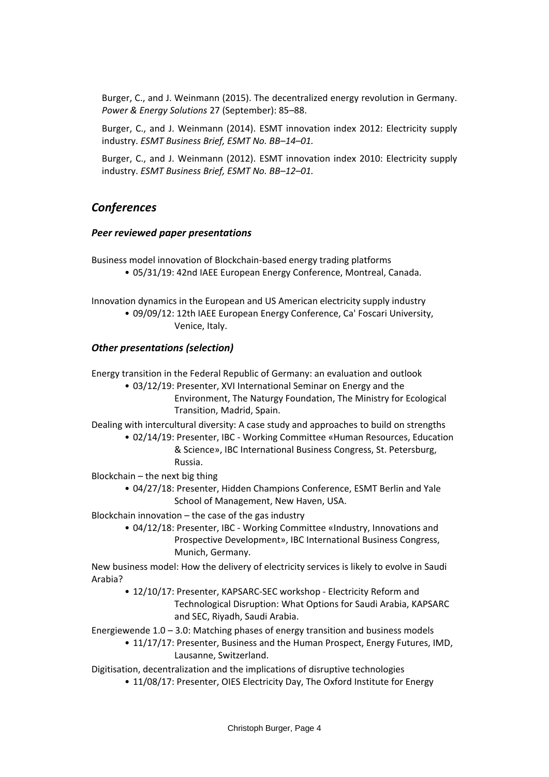Burger, C., and J. Weinmann (2015). The decentralized energy revolution in Germany. *Power & Energy Solutions* 27 (September): 85–88.

Burger, C., and J. Weinmann (2014). ESMT innovation index 2012: Electricity supply industry. *ESMT Business Brief, ESMT No. BB–14–01.*

Burger, C., and J. Weinmann (2012). ESMT innovation index 2010: Electricity supply industry. *ESMT Business Brief, ESMT No. BB–12–01.*

## *Conferences*

### *Peer reviewed paper presentations*

Business model innovation of Blockchain-based energy trading platforms • 05/31/19: 42nd IAEE European Energy Conference, Montreal, Canada.

Innovation dynamics in the European and US American electricity supply industry • 09/09/12: 12th IAEE European Energy Conference, Ca' Foscari University, Venice, Italy.

### *Other presentations (selection)*

Energy transition in the Federal Republic of Germany: an evaluation and outlook

• 03/12/19: Presenter, XVI International Seminar on Energy and the Environment, The Naturgy Foundation, The Ministry for Ecological Transition, Madrid, Spain.

Dealing with intercultural diversity: A case study and approaches to build on strengths

• 02/14/19: Presenter, IBC - Working Committee «Human Resources, Education & Science», IBC International Business Congress, St. Petersburg, Russia.

Blockchain – the next big thing

• 04/27/18: Presenter, Hidden Champions Conference, ESMT Berlin and Yale School of Management, New Haven, USA.

Blockchain innovation – the case of the gas industry

• 04/12/18: Presenter, IBC - Working Committee «Industry, Innovations and Prospective Development», IBC International Business Congress, Munich, Germany.

New business model: How the delivery of electricity services is likely to evolve in Saudi Arabia?

- 12/10/17: Presenter, KAPSARC-SEC workshop Electricity Reform and Technological Disruption: What Options for Saudi Arabia, KAPSARC and SEC, Riyadh, Saudi Arabia.
- Energiewende 1.0 3.0: Matching phases of energy transition and business models
	- 11/17/17: Presenter, Business and the Human Prospect, Energy Futures, IMD, Lausanne, Switzerland.

Digitisation, decentralization and the implications of disruptive technologies

• 11/08/17: Presenter, OIES Electricity Day, The Oxford Institute for Energy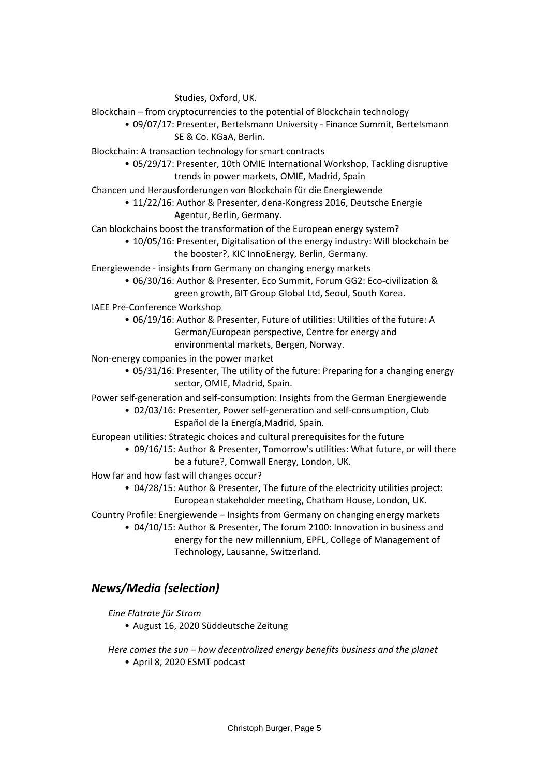Studies, Oxford, UK.

Blockchain – from cryptocurrencies to the potential of Blockchain technology

• 09/07/17: Presenter, Bertelsmann University - Finance Summit, Bertelsmann SE & Co. KGaA, Berlin.

Blockchain: A transaction technology for smart contracts

- 05/29/17: Presenter, 10th OMIE International Workshop, Tackling disruptive trends in power markets, OMIE, Madrid, Spain
- Chancen und Herausforderungen von Blockchain für die Energiewende
	- 11/22/16: Author & Presenter, dena-Kongress 2016, Deutsche Energie Agentur, Berlin, Germany.

Can blockchains boost the transformation of the European energy system?

• 10/05/16: Presenter, Digitalisation of the energy industry: Will blockchain be the booster?, KIC InnoEnergy, Berlin, Germany.

Energiewende - insights from Germany on changing energy markets

- 06/30/16: Author & Presenter, Eco Summit, Forum GG2: Eco-civilization & green growth, BIT Group Global Ltd, Seoul, South Korea.
- IAEE Pre-Conference Workshop
	- 06/19/16: Author & Presenter, Future of utilities: Utilities of the future: A German/European perspective, Centre for energy and environmental markets, Bergen, Norway.

Non-energy companies in the power market

• 05/31/16: Presenter, The utility of the future: Preparing for a changing energy sector, OMIE, Madrid, Spain.

Power self-generation and self-consumption: Insights from the German Energiewende

- 02/03/16: Presenter, Power self-generation and self-consumption, Club Español de la Energía,Madrid, Spain.
- European utilities: Strategic choices and cultural prerequisites for the future
	- 09/16/15: Author & Presenter, Tomorrow's utilities: What future, or will there be a future?, Cornwall Energy, London, UK.
- How far and how fast will changes occur?
	- 04/28/15: Author & Presenter, The future of the electricity utilities project: European stakeholder meeting, Chatham House, London, UK.
- Country Profile: Energiewende Insights from Germany on changing energy markets
	- 04/10/15: Author & Presenter, The forum 2100: Innovation in business and energy for the new millennium, EPFL, College of Management of Technology, Lausanne, Switzerland.

# *News/Media (selection)*

*Eine Flatrate für Strom*

- August 16, 2020 Süddeutsche Zeitung
- *Here comes the sun – how decentralized energy benefits business and the planet* • April 8, 2020 ESMT podcast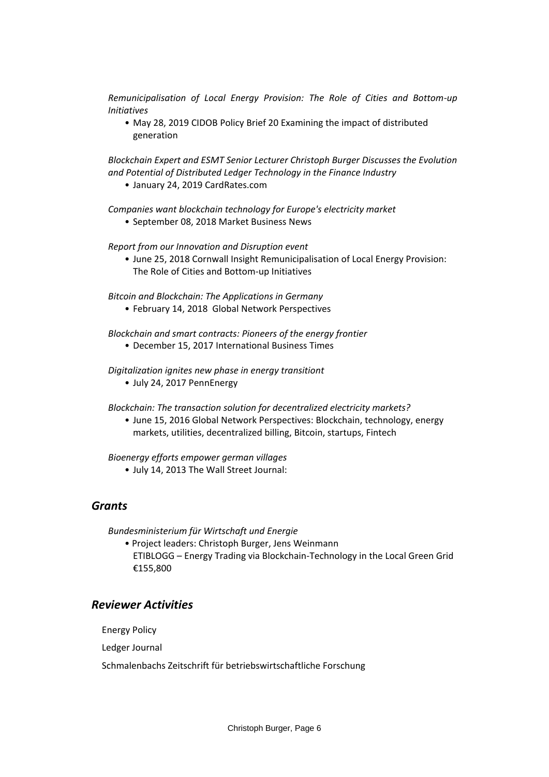*Remunicipalisation of Local Energy Provision: The Role of Cities and Bottom-up Initiatives*

• May 28, 2019 CIDOB Policy Brief 20 Examining the impact of distributed generation

*Blockchain Expert and ESMT Senior Lecturer Christoph Burger Discusses the Evolution and Potential of Distributed Ledger Technology in the Finance Industry*

• January 24, 2019 CardRates.com

*Companies want blockchain technology for Europe's electricity market* • September 08, 2018 Market Business News

*Report from our Innovation and Disruption event*

• June 25, 2018 Cornwall Insight Remunicipalisation of Local Energy Provision: The Role of Cities and Bottom-up Initiatives

*Bitcoin and Blockchain: The Applications in Germany*

• February 14, 2018 Global Network Perspectives

*Blockchain and smart contracts: Pioneers of the energy frontier*

• December 15, 2017 International Business Times

*Digitalization ignites new phase in energy transitiont*

- July 24, 2017 PennEnergy
- *Blockchain: The transaction solution for decentralized electricity markets?*
	- June 15, 2016 Global Network Perspectives: Blockchain, technology, energy markets, utilities, decentralized billing, Bitcoin, startups, Fintech

*Bioenergy efforts empower german villages*

• July 14, 2013 The Wall Street Journal:

### *Grants*

*Bundesministerium für Wirtschaft und Energie*

• Project leaders: Christoph Burger, Jens Weinmann ETIBLOGG – Energy Trading via Blockchain-Technology in the Local Green Grid €155,800

# *Reviewer Activities*

Energy Policy

Ledger Journal

Schmalenbachs Zeitschrift für betriebswirtschaftliche Forschung